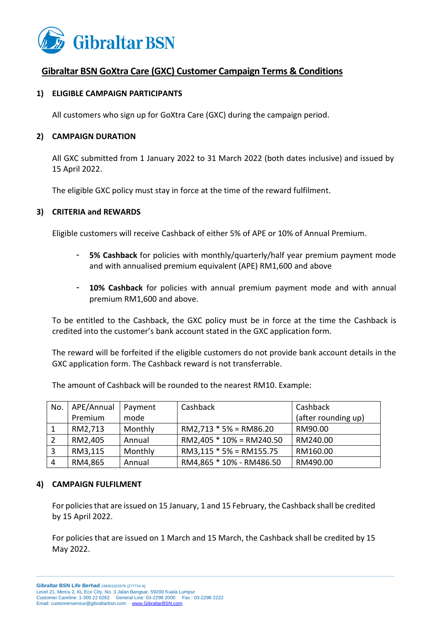

# **Gibraltar BSN GoXtra Care (GXC) Customer Campaign Terms & Conditions**

## **1) ELIGIBLE CAMPAIGN PARTICIPANTS**

All customers who sign up for GoXtra Care (GXC) during the campaign period.

## **2) CAMPAIGN DURATION**

All GXC submitted from 1 January 2022 to 31 March 2022 (both dates inclusive) and issued by 15 April 2022.

The eligible GXC policy must stay in force at the time of the reward fulfilment.

### **3) CRITERIA and REWARDS**

Eligible customers will receive Cashback of either 5% of APE or 10% of Annual Premium.

- **5% Cashback** for policies with monthly/quarterly/half year premium payment mode and with annualised premium equivalent (APE) RM1,600 and above
- 10% Cashback for policies with annual premium payment mode and with annual premium RM1,600 and above.

To be entitled to the Cashback, the GXC policy must be in force at the time the Cashback is credited into the customer's bank account stated in the GXC application form.

The reward will be forfeited if the eligible customers do not provide bank account details in the GXC application form. The Cashback reward is not transferrable.

| No.            | APE/Annual | Payment | Cashback                   | Cashback            |
|----------------|------------|---------|----------------------------|---------------------|
|                | Premium    | mode    |                            | (after rounding up) |
|                | RM2,713    | Monthly | $RM2,713 * 5% = RM86.20$   | RM90.00             |
| $\sqrt{2}$     | RM2,405    | Annual  | $RM2,405 * 10% = RM240.50$ | RM240.00            |
| $\overline{3}$ | RM3,115    | Monthly | $RM3,115 * 5% = RM155.75$  | RM160.00            |
| $\overline{4}$ | RM4,865    | Annual  | RM4,865 * 10% - RM486.50   | RM490.00            |

The amount of Cashback will be rounded to the nearest RM10. Example:

#### **4) CAMPAIGN FULFILMENT**

For policies that are issued on 15 January, 1 and 15 February, the Cashback shall be credited by 15 April 2022.

For policies that are issued on 1 March and 15 March, the Cashback shall be credited by 15 May 2022.